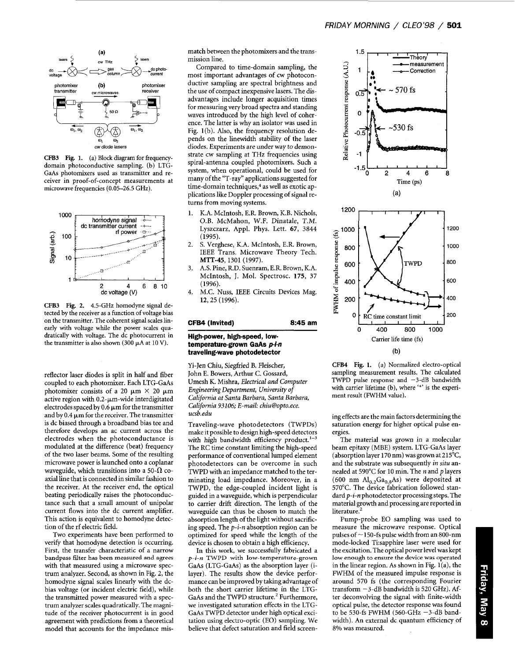

**CFB3 Fig. 1.** (a) Block diagram for frequencydomain photoconductive sampling. (b) LTG-GaAs photomixers used as transmitter and receiver in proof-of-concept measurements at microwave frequencies (0.05-26.5 GHz).



**CFB3 Fig. 2.** 4.5-GHz homodyne signal detected by the receiver as a function of voltage bias on the transmitter. The coherent signal scales linearly with voltage while the power scales quadratically with voltage. The dc photocurrent in the transmitter is also shown (300 **pA** at 10 V).

reflector laser diodes is split in half and fiber coupled to each photomixer. Each LTG-GaAs photomixer consists of a 20  $\mu$ m  $\times$  20  $\mu$ m active region with  $0.2$ - $\mu$ m-wide interdigitated electrodes spaced by  $0.6 \mu m$  for the transmitter and by  $0.4 \mu m$  for the receiver. The transmitter is dc biased through a broadband bias tee and therefore develops an ac current across the electrodes when the photoconductance is modulated at the difference (beat) frequency of the two laser beams. Some of the resulting microwave power is launched onto a coplanar waveguide, which transitions into a 50- $\Omega$  coaxial line that is connected in similar fashion to the receiver. At the receiver end, the optical beating periodically raises the photoconductance such that a small amount of unipolar current flows into the dc current amplifier. This action is equivalent to homodyne detection of the rf electric field.

Two experiments have been performed to verify that homodyne detection is occurring. First, the transfer characteristic of a narrow **bandpass filter has been measured and agrees**  with that measured using a microwave spectrum analyzer. Second, as shown in Fig. **2,** the homodyne signal scales linearly with the dcbias voltage (or incident electric field), while the transmitted power measured with a spectrum analyzer scales quadratically. The magnitude of the receiver photocurrent is in good agreement with predictions from a theoretical model that accounts for the impedance mismatch between the photomixers and the transmission line.

Compared to time-domain sampling, the most important advantages of cw photoconductive sampling are spectral brightness and the use of compact inexpensive lasers. The disadvantages include longer acquisition times for measuring very broad spectra and standing waves introduced by the high level of coherence. The latter is why an isolator was used in Fig. l(b). Also, the frequency resolution depends on the linewidth stability of the laser diodes. Experiments are under way to demonstrate cw sampling at THz frequencies using spiral-antenna coupled photomixers. Such a system, when operational, could be used for many of the "T-ray" applications suggested for time-domain techniques,<sup>4</sup> as well as exotic applications like Doppler processing of signal returns from moving systems.

- 1. K.A. McIntosh, E.R. Brown, K.B. Nichols, O.B. McMahon, W.F. Dinatale, *T.M.*  Lyszczarz, Appl. Phys. Lett. **67,** 3844 (1995).
- S. Verghese, K.A. McIntosh, E.R. Brown, IEEE Trans. Microwave Theory Tech. 2. **MTT-45,** 1301 (1997).
- A.S. Pine, R.D. Suenram, E.R. Brown, K.A. McIntosh, J. Mol. Spectrosc. **175,** 37 ( 1996). **3.**
- M.C. Nuss, IEEE Circuits Devices Mag. 12,25 (1996). 4.

## **CFB4 (Invited) 8:45 am**

## **High-power, high-speed, lowtemperature-grown GaAs** *pi-n*  **traveling-wave photodetector**

Yi-Jen Chiu, Siegfried B. Flejscher, John E. Bowers, Arthur C. Gossard, Umesh K. Mishra, *Electrical and Computer Engineering Department, University of California at Santa Barbara, Santa Barbara, California 93106; E-mail: chiu@opto.ece. [ucsb.edu](http://ucsb.edu)* 

Traveling-wave photodetectors (TWPDs) make it possible to design high-speed detectors with high bandwidth efficiency product. $1-3$ The RC time constant limiting the high-speed performance of conventional lumped element photodetectors can be overcome in such TWPD with an impedance matched to the terminating load impedance. Moreover, in a TWPD, the edge-coupled incident light is guided in a waveguide, which is perpendicular to carrier drift direction. The length of the waveguide can thus be chosen to match the absorption length of the light without sacrificing speed. The *p-i-n* absorption region can be optimized for speed while the length of the device is chosen to obtain a high efficiency.

In this work, we successfully fabricated a *p-i-n* TWPD **with low-temperature-grown**  GaAs (LTG-GaAs) as the absorption layer (ilayer). The results show the device performance can be improved by taking advantage of both the short carrier lifetime in the LTG-GaAs and the TWPD structure.<sup>2</sup> Furthermore, we investigated saturation effects in the LTG-**GaAs** TWPD detector under high optical excitation using electro-optic (EO) sampling. We believe that defect saturation and field screen-



**CFB4 Fig. 1.** (a) Normalized electro-optical sampling measurement results. The calculated TWPD pulse response and  $-3$ -dB bandwidth with carrier lifetime (b), where '\*' is the experiment result (FWHM value).

ing cffects are the main factors determining the saturation energy for higher optical pulse energies.

The material was grown in a molecular beam epitaxy (MBE) system. LTG-GaAs layer (absorption layer 170 nm) was grown at 215 $^{\circ}$ C, and the substrate was subsequently *in situ* annealed at 590°C for 10 min. The *n* and *p* layers (600 nm  $Al_{0.2}Ga_{0.8}As$ ) were deposited at 570°C. The device fabrication followed standard *p-i-n* photodetector processing steps. The material growth and processing are reported in literature.'

Pump-probe EO sampling was used to measure the microwave response. Optical pulses of  $\sim$  150-fs pulse width from an 800-nm mode-locked Tisapphire laser were used for the excitation. The optical power level was kept **low enough** to **ensure the device was operated**  in the linear region. As shown in Fig.  $1(a)$ , the FWHM of the measured impulse response is around 570 fs (the corresponding Fourier transform  $-3$ -dB bandwidth is 520 GHz). After deconvolving the signal with finite-width optical pulse, the detector response was found to be 530-fs FWHM (560-GHz  $-3$ -dB bandwidth). An external dc quantum efficiency of 8% was measured.